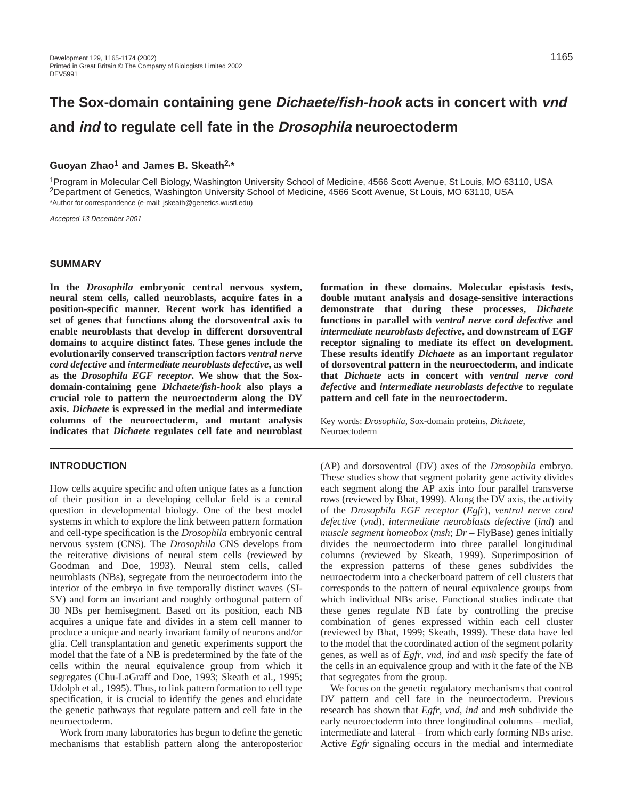# **The Sox-domain containing gene Dichaete/fish-hook acts in concert with vnd and ind to regulate cell fate in the Drosophila neuroectoderm**

## **Guoyan Zhao1 and James B. Skeath2,\***

1Program in Molecular Cell Biology, Washington University School of Medicine, 4566 Scott Avenue, St Louis, MO 63110, USA 2Department of Genetics, Washington University School of Medicine, 4566 Scott Avenue, St Louis, MO 63110, USA \*Author for correspondence (e-mail: jskeath@genetics.wustl.edu)

Accepted 13 December 2001

#### **SUMMARY**

**In the** *Drosophila* **embryonic central nervous system, neural stem cells, called neuroblasts, acquire fates in a position-specific manner. Recent work has identified a set of genes that functions along the dorsoventral axis to enable neuroblasts that develop in different dorsoventral domains to acquire distinct fates. These genes include the evolutionarily conserved transcription factors** *ventral nerve cord defective* **and** *intermediate neuroblasts defective***, as well as the** *Drosophila EGF receptor***. We show that the Soxdomain-containing gene** *Dichaete/fish***-***hook* **also plays a crucial role to pattern the neuroectoderm along the DV axis.** *Dichaete* **is expressed in the medial and intermediate columns of the neuroectoderm, and mutant analysis indicates that** *Dichaete* **regulates cell fate and neuroblast**

## **INTRODUCTION**

How cells acquire specific and often unique fates as a function of their position in a developing cellular field is a central question in developmental biology. One of the best model systems in which to explore the link between pattern formation and cell-type specification is the *Drosophila* embryonic central nervous system (CNS). The *Drosophila* CNS develops from the reiterative divisions of neural stem cells (reviewed by Goodman and Doe, 1993). Neural stem cells, called neuroblasts (NBs), segregate from the neuroectoderm into the interior of the embryo in five temporally distinct waves (SI-SV) and form an invariant and roughly orthogonal pattern of 30 NBs per hemisegment. Based on its position, each NB acquires a unique fate and divides in a stem cell manner to produce a unique and nearly invariant family of neurons and/or glia. Cell transplantation and genetic experiments support the model that the fate of a NB is predetermined by the fate of the cells within the neural equivalence group from which it segregates (Chu-LaGraff and Doe, 1993; Skeath et al., 1995; Udolph et al., 1995). Thus, to link pattern formation to cell type specification, it is crucial to identify the genes and elucidate the genetic pathways that regulate pattern and cell fate in the neuroectoderm.

Work from many laboratories has begun to define the genetic mechanisms that establish pattern along the anteroposterior

**formation in these domains. Molecular epistasis tests, double mutant analysis and dosage-sensitive interactions demonstrate that during these processes,** *Dichaete* **functions in parallel with** *ventral nerve cord defective* **and** *intermediate neuroblasts defective***, and downstream of EGF receptor signaling to mediate its effect on development. These results identify** *Dichaete* **as an important regulator of dorsoventral pattern in the neuroectoderm, and indicate that** *Dichaete* **acts in concert with** *ventral nerve cord defective* **and** *intermediate neuroblasts defective* **to regulate pattern and cell fate in the neuroectoderm.** 

Key words: *Drosophila*, Sox-domain proteins, *Dichaete*, Neuroectoderm

(AP) and dorsoventral (DV) axes of the *Drosophila* embryo. These studies show that segment polarity gene activity divides each segment along the AP axis into four parallel transverse rows (reviewed by Bhat, 1999). Along the DV axis, the activity of the *Drosophila EGF receptor* (*Egfr*), *ventral nerve cord defective* (*vnd*), *intermediate neuroblasts defective* (*ind*) and *muscle segment homeobox* (*msh*; *Dr* – FlyBase) genes initially divides the neuroectoderm into three parallel longitudinal columns (reviewed by Skeath, 1999). Superimposition of the expression patterns of these genes subdivides the neuroectoderm into a checkerboard pattern of cell clusters that corresponds to the pattern of neural equivalence groups from which individual NBs arise. Functional studies indicate that these genes regulate NB fate by controlling the precise combination of genes expressed within each cell cluster (reviewed by Bhat, 1999; Skeath, 1999). These data have led to the model that the coordinated action of the segment polarity genes, as well as of *Egfr*, *vnd*, *ind* and *msh* specify the fate of the cells in an equivalence group and with it the fate of the NB that segregates from the group.

We focus on the genetic regulatory mechanisms that control DV pattern and cell fate in the neuroectoderm. Previous research has shown that *Egfr*, *vnd*, *ind* and *msh* subdivide the early neuroectoderm into three longitudinal columns – medial, intermediate and lateral – from which early forming NBs arise. Active *Egfr* signaling occurs in the medial and intermediate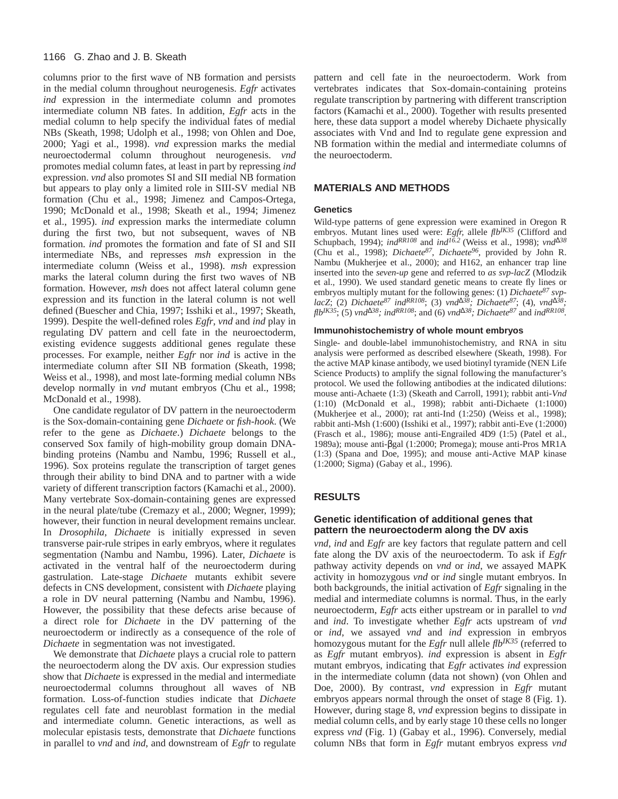#### 1166 G. Zhao and J. B. Skeath

columns prior to the first wave of NB formation and persists in the medial column throughout neurogenesis. *Egfr* activates *ind* expression in the intermediate column and promotes intermediate column NB fates. In addition, *Egfr* acts in the medial column to help specify the individual fates of medial NBs (Skeath, 1998; Udolph et al., 1998; von Ohlen and Doe, 2000; Yagi et al., 1998). *vnd* expression marks the medial neuroectodermal column throughout neurogenesis. *vnd* promotes medial column fates, at least in part by repressing *ind* expression. *vnd* also promotes SI and SII medial NB formation but appears to play only a limited role in SIII-SV medial NB formation (Chu et al., 1998; Jimenez and Campos-Ortega, 1990; McDonald et al., 1998; Skeath et al., 1994; Jimenez et al., 1995). *ind* expression marks the intermediate column during the first two, but not subsequent, waves of NB formation. *ind* promotes the formation and fate of SI and SII intermediate NBs, and represses *msh* expression in the intermediate column (Weiss et al., 1998). *msh* expression marks the lateral column during the first two waves of NB formation. However, *msh* does not affect lateral column gene expression and its function in the lateral column is not well defined (Buescher and Chia, 1997; Isshiki et al., 1997; Skeath, 1999). Despite the well-defined roles *Egfr*, *vnd* and *ind* play in regulating DV pattern and cell fate in the neuroectoderm, existing evidence suggests additional genes regulate these processes. For example, neither *Egfr* nor *ind* is active in the intermediate column after SII NB formation (Skeath, 1998; Weiss et al., 1998), and most late-forming medial column NBs develop normally in *vnd* mutant embryos (Chu et al., 1998; McDonald et al., 1998).

One candidate regulator of DV pattern in the neuroectoderm is the Sox-domain-containing gene *Dichaete* or *fish-hook*. (We refer to the gene as *Dichaete*.) *Dichaete* belongs to the conserved Sox family of high-mobility group domain DNAbinding proteins (Nambu and Nambu, 1996; Russell et al., 1996). Sox proteins regulate the transcription of target genes through their ability to bind DNA and to partner with a wide variety of different transcription factors (Kamachi et al., 2000). Many vertebrate Sox-domain-containing genes are expressed in the neural plate/tube (Cremazy et al., 2000; Wegner, 1999); however, their function in neural development remains unclear. In *Drosophila*, *Dichaete* is initially expressed in seven transverse pair-rule stripes in early embryos, where it regulates segmentation (Nambu and Nambu, 1996). Later, *Dichaete* is activated in the ventral half of the neuroectoderm during gastrulation. Late-stage *Dichaete* mutants exhibit severe defects in CNS development, consistent with *Dichaete* playing a role in DV neural patterning (Nambu and Nambu, 1996). However, the possibility that these defects arise because of a direct role for *Dichaete* in the DV patterning of the neuroectoderm or indirectly as a consequence of the role of *Dichaete* in segmentation was not investigated.

We demonstrate that *Dichaete* plays a crucial role to pattern the neuroectoderm along the DV axis. Our expression studies show that *Dichaete* is expressed in the medial and intermediate neuroectodermal columns throughout all waves of NB formation. Loss-of-function studies indicate that *Dichaete* regulates cell fate and neuroblast formation in the medial and intermediate column. Genetic interactions, as well as molecular epistasis tests, demonstrate that *Dichaete* functions in parallel to *vnd* and *ind*, and downstream of *Egfr* to regulate

pattern and cell fate in the neuroectoderm. Work from vertebrates indicates that Sox-domain-containing proteins regulate transcription by partnering with different transcription factors (Kamachi et al., 2000). Together with results presented here, these data support a model whereby Dichaete physically associates with Vnd and Ind to regulate gene expression and NB formation within the medial and intermediate columns of the neuroectoderm.

## **MATERIALS AND METHODS**

#### **Genetics**

Wild-type patterns of gene expression were examined in Oregon R embryos. Mutant lines used were: *Egfr,* allele *flbIK35* (Clifford and Schupbach, 1994); *indRR108* and *ind16.2* (Weiss et al., 1998); *vnd*∆*<sup>38</sup>* (Chu et al., 1998); *Dichaete87*, *Dichaete96*, provided by John R. Nambu (Mukherjee et al., 2000); and H162, an enhancer trap line inserted into the *seven-up* gene and referred to *as svp-lacZ* (Mlodzik et al., 1990). We used standard genetic means to create fly lines or embryos multiply mutant for the following genes: (1) *Dichaete87 svplacZ*; (2) *Dichaete87 indRR108*; (3) *vnd*<sup>∆</sup>*38; Dichaete87*; (4), *vnd*<sup>∆</sup>*38; flbIK35*; (5) *vnd*<sup>∆</sup>*38; indRR108*; and (6) *vnd*<sup>∆</sup>*38; Dichaete87* and *indRR108.*

#### **Immunohistochemistry of whole mount embryos**

Single- and double-label immunohistochemistry, and RNA in situ analysis were performed as described elsewhere (Skeath, 1998). For the active MAP kinase antibody, we used biotinyl tyramide (NEN Life Science Products) to amplify the signal following the manufacturer's protocol. We used the following antibodies at the indicated dilutions: mouse anti-Achaete (1:3) (Skeath and Carroll, 1991); rabbit anti-*Vnd* (1:10) (McDonald et al., 1998); rabbit anti-Dichaete (1:1000) (Mukherjee et al., 2000); rat anti-Ind (1:250) (Weiss et al., 1998); rabbit anti-Msh (1:600) (Isshiki et al., 1997); rabbit anti-Eve (1:2000) (Frasch et al., 1986); mouse anti-Engrailed 4D9 (1:5) (Patel et al., 1989a); mouse anti-βgal (1:2000; Promega); mouse anti-Pros MR1A (1:3) (Spana and Doe, 1995); and mouse anti-Active MAP kinase (1:2000; Sigma) (Gabay et al., 1996).

# **RESULTS**

## **Genetic identification of additional genes that pattern the neuroectoderm along the DV axis**

*vnd*, *ind* and *Egfr* are key factors that regulate pattern and cell fate along the DV axis of the neuroectoderm. To ask if *Egfr* pathway activity depends on *vnd* or *ind*, we assayed MAPK activity in homozygous *vnd* or *ind* single mutant embryos. In both backgrounds, the initial activation of *Egfr* signaling in the medial and intermediate columns is normal. Thus, in the early neuroectoderm, *Egfr* acts either upstream or in parallel to *vnd* and *ind*. To investigate whether *Egfr* acts upstream of *vnd* or *ind*, we assayed *vnd* and *ind* expression in embryos homozygous mutant for the *Egfr* null allele *flbIK35* (referred to as *Egfr* mutant embryos). *ind* expression is absent in *Egfr* mutant embryos, indicating that *Egfr* activates *ind* expression in the intermediate column (data not shown) (von Ohlen and Doe, 2000). By contrast, *vnd* expression in *Egfr* mutant embryos appears normal through the onset of stage 8 (Fig. 1). However, during stage 8, *vnd* expression begins to dissipate in medial column cells, and by early stage 10 these cells no longer express *vnd* (Fig. 1) (Gabay et al., 1996). Conversely, medial column NBs that form in *Egfr* mutant embryos express *vnd*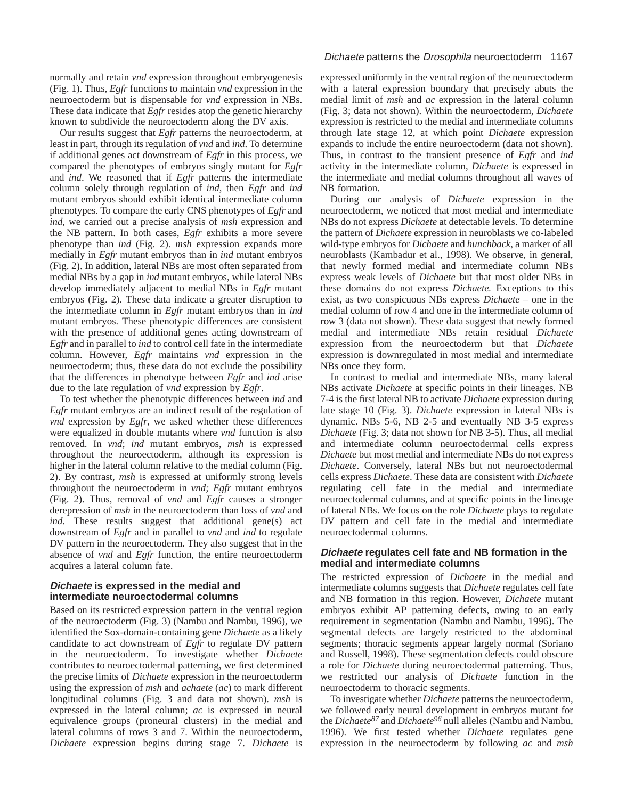normally and retain *vnd* expression throughout embryogenesis (Fig. 1). Thus, *Egfr* functions to maintain *vnd* expression in the neuroectoderm but is dispensable for *vnd* expression in NBs. These data indicate that *Egfr* resides atop the genetic hierarchy known to subdivide the neuroectoderm along the DV axis.

Our results suggest that *Egfr* patterns the neuroectoderm, at least in part, through its regulation of *vnd* and *ind*. To determine if additional genes act downstream of *Egfr* in this process, we compared the phenotypes of embryos singly mutant for *Egfr* and *ind*. We reasoned that if *Egfr* patterns the intermediate column solely through regulation of *ind*, then *Egfr* and *ind* mutant embryos should exhibit identical intermediate column phenotypes. To compare the early CNS phenotypes of *Egfr* and *ind*, we carried out a precise analysis of *msh* expression and the NB pattern. In both cases, *Egfr* exhibits a more severe phenotype than *ind* (Fig. 2). *msh* expression expands more medially in *Egfr* mutant embryos than in *ind* mutant embryos (Fig. 2). In addition, lateral NBs are most often separated from medial NBs by a gap in *ind* mutant embryos, while lateral NBs develop immediately adjacent to medial NBs in *Egfr* mutant embryos (Fig. 2). These data indicate a greater disruption to the intermediate column in *Egfr* mutant embryos than in *ind* mutant embryos. These phenotypic differences are consistent with the presence of additional genes acting downstream of *Egfr* and in parallel to *ind* to control cell fate in the intermediate column. However, *Egfr* maintains *vnd* expression in the neuroectoderm; thus, these data do not exclude the possibility that the differences in phenotype between *Egfr* and *ind* arise due to the late regulation of *vnd* expression by *Egfr*.

To test whether the phenotypic differences between *ind* and *Egfr* mutant embryos are an indirect result of the regulation of *vnd* expression by *Egfr*, we asked whether these differences were equalized in double mutants where *vnd* function is also removed. In *vnd*; *ind* mutant embryos, *msh* is expressed throughout the neuroectoderm, although its expression is higher in the lateral column relative to the medial column (Fig. 2). By contrast, *msh* is expressed at uniformly strong levels throughout the neuroectoderm in *vnd; Egfr* mutant embryos (Fig. 2). Thus, removal of *vnd* and *Egfr* causes a stronger derepression of *msh* in the neuroectoderm than loss of *vnd* and *ind*. These results suggest that additional gene(s) act downstream of *Egfr* and in parallel to *vnd* and *ind* to regulate DV pattern in the neuroectoderm. They also suggest that in the absence of *vnd* and *Egfr* function, the entire neuroectoderm acquires a lateral column fate.

## **Dichaete is expressed in the medial and intermediate neuroectodermal columns**

Based on its restricted expression pattern in the ventral region of the neuroectoderm (Fig. 3) (Nambu and Nambu, 1996), we identified the Sox-domain-containing gene *Dichaete* as a likely candidate to act downstream of *Egfr* to regulate DV pattern in the neuroectoderm. To investigate whether *Dichaete* contributes to neuroectodermal patterning, we first determined the precise limits of *Dichaete* expression in the neuroectoderm using the expression of *msh* and *achaete* (*ac*) to mark different longitudinal columns (Fig. 3 and data not shown). *msh* is expressed in the lateral column; *ac* is expressed in neural equivalence groups (proneural clusters) in the medial and lateral columns of rows 3 and 7. Within the neuroectoderm, *Dichaete* expression begins during stage 7. *Dichaete* is

## Dichaete patterns the Drosophila neuroectoderm 1167

expressed uniformly in the ventral region of the neuroectoderm with a lateral expression boundary that precisely abuts the medial limit of *msh* and *ac* expression in the lateral column (Fig. 3; data not shown). Within the neuroectoderm, *Dichaete* expression is restricted to the medial and intermediate columns through late stage 12, at which point *Dichaete* expression expands to include the entire neuroectoderm (data not shown). Thus, in contrast to the transient presence of *Egfr* and *ind* activity in the intermediate column, *Dichaete* is expressed in the intermediate and medial columns throughout all waves of NB formation.

During our analysis of *Dichaete* expression in the neuroectoderm, we noticed that most medial and intermediate NBs do not express *Dichaete* at detectable levels. To determine the pattern of *Dichaete* expression in neuroblasts we co-labeled wild-type embryos for *Dichaete* and *hunchback*, a marker of all neuroblasts (Kambadur et al., 1998). We observe, in general, that newly formed medial and intermediate column NBs express weak levels of *Dichaete* but that most older NBs in these domains do not express *Dichaete.* Exceptions to this exist, as two conspicuous NBs express *Dichaete* – one in the medial column of row 4 and one in the intermediate column of row 3 (data not shown). These data suggest that newly formed medial and intermediate NBs retain residual *Dichaete* expression from the neuroectoderm but that *Dichaete* expression is downregulated in most medial and intermediate NBs once they form.

In contrast to medial and intermediate NBs, many lateral NBs activate *Dichaete* at specific points in their lineages. NB 7-4 is the first lateral NB to activate *Dichaete* expression during late stage 10 (Fig. 3). *Dichaete* expression in lateral NBs is dynamic. NBs 5-6, NB 2-5 and eventually NB 3-5 express *Dichaete* (Fig. 3; data not shown for NB 3-5). Thus, all medial and intermediate column neuroectodermal cells express *Dichaete* but most medial and intermediate NBs do not express *Dichaete*. Conversely, lateral NBs but not neuroectodermal cells express *Dichaete*. These data are consistent with *Dichaete* regulating cell fate in the medial and intermediate neuroectodermal columns, and at specific points in the lineage of lateral NBs. We focus on the role *Dichaete* plays to regulate DV pattern and cell fate in the medial and intermediate neuroectodermal columns.

## **Dichaete regulates cell fate and NB formation in the medial and intermediate columns**

The restricted expression of *Dichaete* in the medial and intermediate columns suggests that *Dichaete* regulates cell fate and NB formation in this region. However, *Dichaete* mutant embryos exhibit AP patterning defects, owing to an early requirement in segmentation (Nambu and Nambu, 1996). The segmental defects are largely restricted to the abdominal segments; thoracic segments appear largely normal (Soriano and Russell, 1998). These segmentation defects could obscure a role for *Dichaete* during neuroectodermal patterning. Thus, we restricted our analysis of *Dichaete* function in the neuroectoderm to thoracic segments.

To investigate whether *Dichaete* patterns the neuroectoderm, we followed early neural development in embryos mutant for the *Dichaete87* and *Dichaete96* null alleles (Nambu and Nambu, 1996). We first tested whether *Dichaete* regulates gene expression in the neuroectoderm by following *ac* and *msh*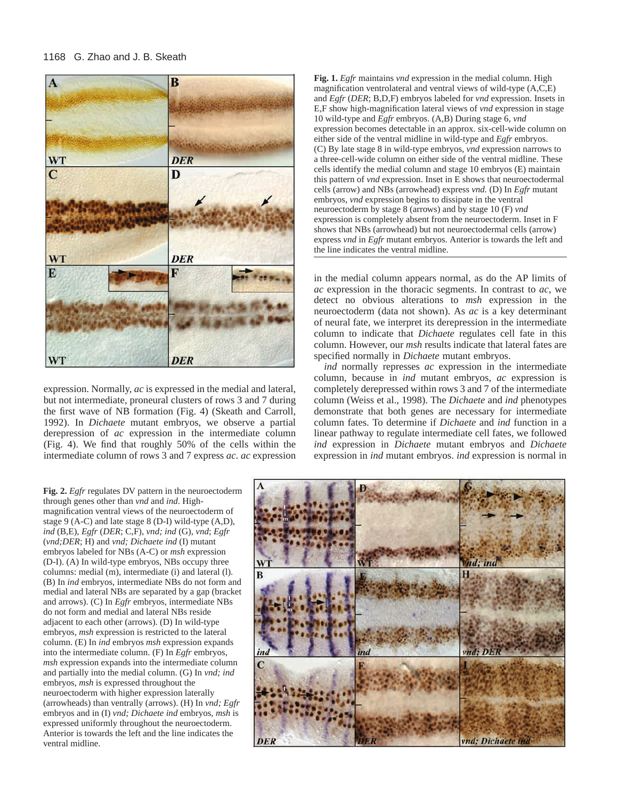#### 1168 G. Zhao and J. B. Skeath



expression. Normally, *ac* is expressed in the medial and lateral, but not intermediate, proneural clusters of rows 3 and 7 during the first wave of NB formation (Fig. 4) (Skeath and Carroll, 1992). In *Dichaete* mutant embryos, we observe a partial derepression of *ac* expression in the intermediate column (Fig. 4). We find that roughly 50% of the cells within the intermediate column of rows 3 and 7 express *ac*. *ac* expression **Fig. 1.** *Egfr* maintains *vnd* expression in the medial column. High magnification ventrolateral and ventral views of wild-type (A,C,E) and *Egfr* (*DER*; B,D,F) embryos labeled for *vnd* expression. Insets in E,F show high-magnification lateral views of *vnd* expression in stage 10 wild-type and *Egfr* embryos. (A,B) During stage 6, *vnd* expression becomes detectable in an approx. six-cell-wide column on either side of the ventral midline in wild-type and *Egfr* embryos. (C) By late stage 8 in wild-type embryos, *vnd* expression narrows to a three-cell-wide column on either side of the ventral midline. These cells identify the medial column and stage 10 embryos (E) maintain this pattern of *vnd* expression. Inset in E shows that neuroectodermal cells (arrow) and NBs (arrowhead) express *vnd.* (D) In *Egfr* mutant embryos, *vnd* expression begins to dissipate in the ventral neuroectoderm by stage 8 (arrows) and by stage 10 (F) *vnd* expression is completely absent from the neuroectoderm. Inset in F shows that NBs (arrowhead) but not neuroectodermal cells (arrow) express *vnd* in *Egfr* mutant embryos. Anterior is towards the left and the line indicates the ventral midline.

in the medial column appears normal, as do the AP limits of *ac* expression in the thoracic segments. In contrast to *ac*, we detect no obvious alterations to *msh* expression in the neuroectoderm (data not shown). As *ac* is a key determinant of neural fate, we interpret its derepression in the intermediate column to indicate that *Dichaete* regulates cell fate in this column. However, our *msh* results indicate that lateral fates are specified normally in *Dichaete* mutant embryos.

*ind* normally represses *ac* expression in the intermediate column, because in *ind* mutant embryos, *ac* expression is completely derepressed within rows 3 and 7 of the intermediate column (Weiss et al., 1998). The *Dichaete* and *ind* phenotypes demonstrate that both genes are necessary for intermediate column fates. To determine if *Dichaete* and *ind* function in a linear pathway to regulate intermediate cell fates, we followed *ind* expression in *Dichaete* mutant embryos and *Dichaete* expression in *ind* mutant embryos. *ind* expression is normal in

**Fig. 2.** *Egfr* regulates DV pattern in the neuroectoderm through genes other than *vnd* and *ind*. Highmagnification ventral views of the neuroectoderm of stage 9 (A-C) and late stage 8 (D-I) wild-type (A,D), *ind* (B,E), *Egfr* (*DER*; C,F), *vnd; ind* (G), *vnd*; *Egfr* (*vnd;DER*; H) and *vnd; Dichaete ind* (I) mutant embryos labeled for NBs (A-C) or *msh* expression (D-I). (A) In wild-type embryos, NBs occupy three columns: medial (m), intermediate (i) and lateral (l). (B) In *ind* embryos, intermediate NBs do not form and medial and lateral NBs are separated by a gap (bracket and arrows). (C) In *Egfr* embryos, intermediate NBs do not form and medial and lateral NBs reside adjacent to each other (arrows). (D) In wild-type embryos, *msh* expression is restricted to the lateral column. (E) In *ind* embryos *msh* expression expands into the intermediate column. (F) In *Egfr* embryos, *msh* expression expands into the intermediate column and partially into the medial column. (G) In *vnd; ind* embryos, *msh* is expressed throughout the neuroectoderm with higher expression laterally (arrowheads) than ventrally (arrows). (H) In *vnd; Egfr* embryos and in (I) *vnd; Dichaete ind* embryos, *msh* is expressed uniformly throughout the neuroectoderm. Anterior is towards the left and the line indicates the ventral midline.

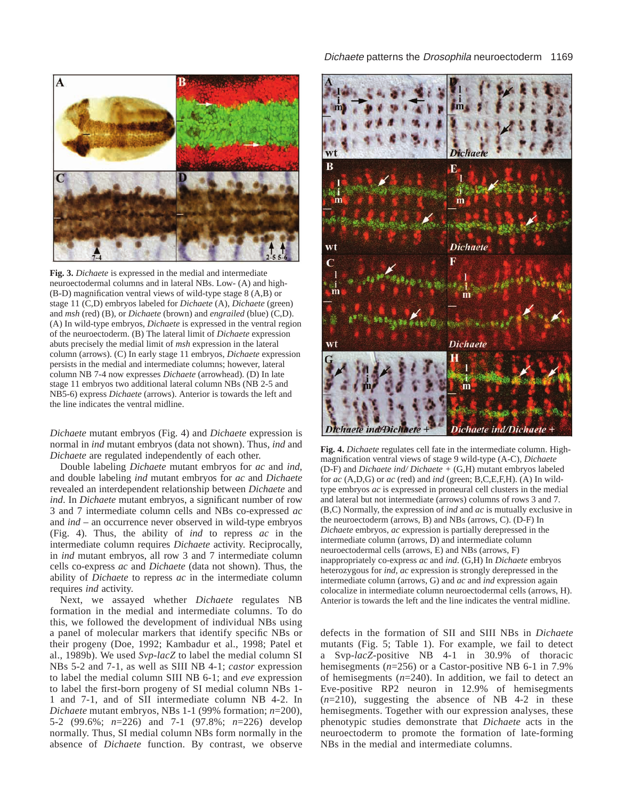

**Fig. 3.** *Dichaete* is expressed in the medial and intermediate neuroectodermal columns and in lateral NBs. Low- (A) and high- (B-D) magnification ventral views of wild-type stage 8 (A,B) or stage 11 (C,D) embryos labeled for *Dichaete* (A), *Dichaete* (green) and *msh* (red) (B), or *Dichaete* (brown) and *engrailed* (blue) (C,D). (A) In wild-type embryos, *Dichaete* is expressed in the ventral region of the neuroectoderm. (B) The lateral limit of *Dichaete* expression abuts precisely the medial limit of *msh* expression in the lateral column (arrows). (C) In early stage 11 embryos, *Dichaete* expression persists in the medial and intermediate columns; however, lateral column NB 7-4 now expresses *Dichaete* (arrowhead). (D) In late stage 11 embryos two additional lateral column NBs (NB 2-5 and NB5-6) express *Dichaete* (arrows). Anterior is towards the left and the line indicates the ventral midline.

*Dichaete* mutant embryos (Fig. 4) and *Dichaete* expression is normal in *ind* mutant embryos (data not shown). Thus, *ind* and *Dichaete* are regulated independently of each other.

Double labeling *Dichaete* mutant embryos for *ac* and *ind*, and double labeling *ind* mutant embryos for *ac* and *Dichaete* revealed an interdependent relationship between *Dichaete* and *ind*. In *Dichaete* mutant embryos, a significant number of row 3 and 7 intermediate column cells and NBs co-expressed *ac* and *ind* – an occurrence never observed in wild-type embryos (Fig. 4). Thus, the ability of *ind* to repress *ac* in the intermediate column requires *Dichaete* activity. Reciprocally, in *ind* mutant embryos, all row 3 and 7 intermediate column cells co-express *ac* and *Dichaete* (data not shown). Thus, the ability of *Dichaete* to repress *ac* in the intermediate column requires *ind* activity.

Next, we assayed whether *Dichaete* regulates NB formation in the medial and intermediate columns. To do this, we followed the development of individual NBs using a panel of molecular markers that identify specific NBs or their progeny (Doe, 1992; Kambadur et al., 1998; Patel et al., 1989b). We used *Svp-lacZ* to label the medial column SI NBs 5-2 and 7-1, as well as SIII NB 4-1; *castor* expression to label the medial column SIII NB 6-1; and *eve* expression to label the first-born progeny of SI medial column NBs 1- 1 and 7-1, and of SII intermediate column NB 4-2. In *Dichaete* mutant embryos, NBs 1-1 (99% formation; *n*=200), 5-2 (99.6%; *n*=226) and 7-1 (97.8%; *n*=226) develop normally. Thus, SI medial column NBs form normally in the absence of *Dichaete* function. By contrast, we observe



**Fig. 4.** *Dichaete* regulates cell fate in the intermediate column. Highmagnification ventral views of stage 9 wild-type (A-C), *Dichaete* (D-F) and *Dichaete ind/ Dichaete +* (G,H) mutant embryos labeled for *ac* (A,D,G) or *ac* (red) and *ind* (green; B,C,E,F,H). (A) In wildtype embryos *ac* is expressed in proneural cell clusters in the medial and lateral but not intermediate (arrows) columns of rows 3 and 7. (B,C) Normally, the expression of *ind* and *ac* is mutually exclusive in the neuroectoderm (arrows, B) and NBs (arrows, C). (D-F) In *Dichaete* embryos, *ac* expression is partially derepressed in the intermediate column (arrows, D) and intermediate column neuroectodermal cells (arrows, E) and NBs (arrows, F) inappropriately co-express *ac* and *ind*. (G,H) In *Dichaete* embryos heterozygous for *ind, ac* expression is strongly derepressed in the intermediate column (arrows, G) and *ac* and *ind* expression again colocalize in intermediate column neuroectodermal cells (arrows, H). Anterior is towards the left and the line indicates the ventral midline.

defects in the formation of SII and SIII NBs in *Dichaete* mutants (Fig. 5; Table 1). For example, we fail to detect a Svp-*lacZ*-positive NB 4-1 in 30.9% of thoracic hemisegments (*n*=256) or a Castor-positive NB 6-1 in 7.9% of hemisegments (*n*=240). In addition, we fail to detect an Eve-positive RP2 neuron in 12.9% of hemisegments (*n*=210), suggesting the absence of NB 4-2 in these hemisegments. Together with our expression analyses, these phenotypic studies demonstrate that *Dichaete* acts in the neuroectoderm to promote the formation of late-forming NBs in the medial and intermediate columns.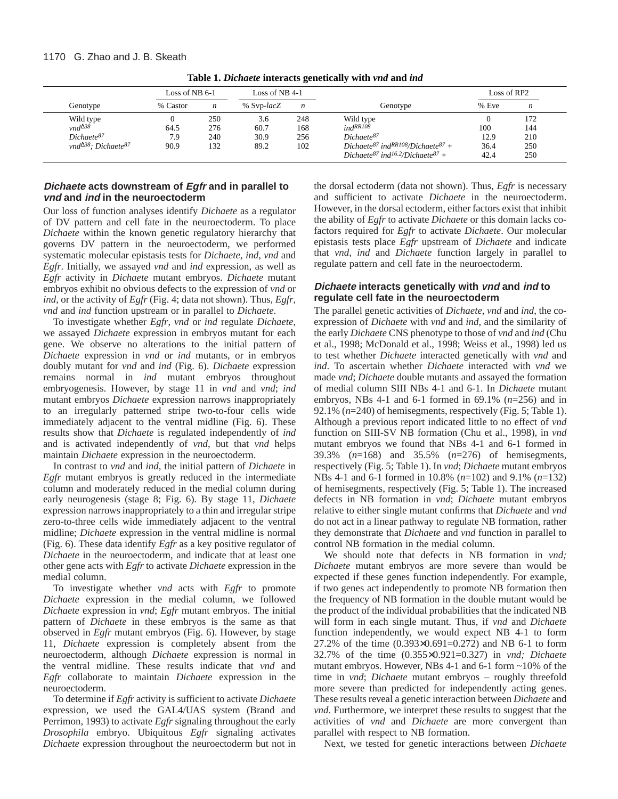| Genotype                             | Loss of NB $6-1$ |                  | Loss of NB 4-1 |                  |                                                                       | Loss of RP2 |                  |
|--------------------------------------|------------------|------------------|----------------|------------------|-----------------------------------------------------------------------|-------------|------------------|
|                                      | % Castor         | $\boldsymbol{n}$ | % Svp-lacZ     | $\boldsymbol{n}$ | Genotype                                                              | % Eve       | $\boldsymbol{n}$ |
|                                      |                  | 250              | 3.6            | 248              | Wild type                                                             |             | 172              |
| Wild type<br>$vnd^{\Delta 38}$       | 64.5             | 276              | 60.7           | 168              | $ind^{RR108}$                                                         | 100         | 144              |
| Dichaete <sup>87</sup>               | 7.9              | 240              | 30.9           | 256              | Dichaete <sup>87</sup>                                                | 12.9        | 210              |
| vnd $\Delta^{38}$ ; Dichaete $^{87}$ | 90.9             | 132              | 89.2           | 102              | Dichaete <sup>87</sup> ind <sup>RR108</sup> /Dichaete <sup>87</sup> + | 36.4        | 250              |
|                                      |                  |                  |                |                  | Dichaete <sup>87</sup> ind <sup>16.2</sup> /Dichaete <sup>87</sup> +  | 42.4        | 250              |

**Table 1.** *Dichaete* **interacts genetically with** *vnd* **and** *ind*

## **Dichaete acts downstream of Egfr and in parallel to vnd and ind in the neuroectoderm**

Our loss of function analyses identify *Dichaete* as a regulator of DV pattern and cell fate in the neuroectoderm. To place *Dichaete* within the known genetic regulatory hierarchy that governs DV pattern in the neuroectoderm, we performed systematic molecular epistasis tests for *Dichaete*, *ind*, *vnd* and *Egfr*. Initially, we assayed *vnd* and *ind* expression, as well as *Egfr* activity in *Dichaete* mutant embryos. *Dichaete* mutant embryos exhibit no obvious defects to the expression of *vnd* or *ind*, or the activity of *Egfr* (Fig. 4; data not shown). Thus, *Egfr*, *vnd* and *ind* function upstream or in parallel to *Dichaete*.

To investigate whether *Egfr*, *vnd* or *ind* regulate *Dichaete*, we assayed *Dichaete* expression in embryos mutant for each gene. We observe no alterations to the initial pattern of *Dichaete* expression in *vnd* or *ind* mutants, or in embryos doubly mutant for *vnd* and *ind* (Fig. 6). *Dichaete* expression remains normal in *ind* mutant embryos throughout embryogenesis. However, by stage 11 in *vnd* and *vnd*; *ind* mutant embryos *Dichaete* expression narrows inappropriately to an irregularly patterned stripe two-to-four cells wide immediately adjacent to the ventral midline (Fig. 6). These results show that *Dichaete* is regulated independently of *ind* and is activated independently of *vnd*, but that *vnd* helps maintain *Dichaete* expression in the neuroectoderm.

In contrast to *vnd* and *ind*, the initial pattern of *Dichaete* in *Egfr* mutant embryos is greatly reduced in the intermediate column and moderately reduced in the medial column during early neurogenesis (stage 8; Fig. 6). By stage 11, *Dichaete* expression narrows inappropriately to a thin and irregular stripe zero-to-three cells wide immediately adjacent to the ventral midline; *Dichaete* expression in the ventral midline is normal (Fig. 6). These data identify *Egfr* as a key positive regulator of *Dichaete* in the neuroectoderm, and indicate that at least one other gene acts with *Egfr* to activate *Dichaete* expression in the medial column.

To investigate whether *vnd* acts with *Egfr* to promote *Dichaete* expression in the medial column, we followed *Dichaete* expression in *vnd*; *Egfr* mutant embryos. The initial pattern of *Dichaete* in these embryos is the same as that observed in *Egfr* mutant embryos (Fig. 6). However, by stage 11, *Dichaete* expression is completely absent from the neuroectoderm, although *Dichaete* expression is normal in the ventral midline. These results indicate that *vnd* and *Egfr* collaborate to maintain *Dichaete* expression in the neuroectoderm.

To determine if *Egfr* activity is sufficient to activate *Dichaete* expression, we used the GAL4/UAS system (Brand and Perrimon, 1993) to activate *Egfr* signaling throughout the early *Drosophila* embryo. Ubiquitous *Egfr* signaling activates *Dichaete* expression throughout the neuroectoderm but not in

the dorsal ectoderm (data not shown). Thus, *Egfr* is necessary and sufficient to activate *Dichaete* in the neuroectoderm. However, in the dorsal ectoderm, either factors exist that inhibit the ability of *Egfr* to activate *Dichaete* or this domain lacks cofactors required for *Egfr* to activate *Dichaete*. Our molecular epistasis tests place *Egfr* upstream of *Dichaete* and indicate that *vnd*, *ind* and *Dichaete* function largely in parallel to regulate pattern and cell fate in the neuroectoderm.

# **Dichaete interacts genetically with vnd and ind to regulate cell fate in the neuroectoderm**

The parallel genetic activities of *Dichaete*, *vnd* and *ind*, the coexpression of *Dichaete* with *vnd* and *ind*, and the similarity of the early *Dichaete* CNS phenotype to those of *vnd* and *ind* (Chu et al., 1998; McDonald et al., 1998; Weiss et al., 1998) led us to test whether *Dichaete* interacted genetically with *vnd* and *ind*. To ascertain whether *Dichaete* interacted with *vnd* we made *vnd*; *Dichaete* double mutants and assayed the formation of medial column SIII NBs 4-1 and 6-1. In *Dichaete* mutant embryos, NBs 4-1 and 6-1 formed in 69.1% (*n*=256) and in 92.1% (*n*=240) of hemisegments, respectively (Fig. 5; Table 1). Although a previous report indicated little to no effect of *vnd* function on SIII-SV NB formation (Chu et al., 1998), in *vnd* mutant embryos we found that NBs 4-1 and 6-1 formed in 39.3% (*n*=168) and 35.5% (*n*=276) of hemisegments, respectively (Fig. 5; Table 1). In *vnd*; *Dichaete* mutant embryos NBs 4-1 and 6-1 formed in 10.8% (*n*=102) and 9.1% (*n*=132) of hemisegments, respectively (Fig. 5; Table 1). The increased defects in NB formation in *vnd*; *Dichaete* mutant embryos relative to either single mutant confirms that *Dichaete* and *vnd* do not act in a linear pathway to regulate NB formation, rather they demonstrate that *Dichaete* and *vnd* function in parallel to control NB formation in the medial column.

We should note that defects in NB formation in *vnd; Dichaete* mutant embryos are more severe than would be expected if these genes function independently. For example, if two genes act independently to promote NB formation then the frequency of NB formation in the double mutant would be the product of the individual probabilities that the indicated NB will form in each single mutant. Thus, if *vnd* and *Dichaete* function independently, we would expect NB 4-1 to form 27.2% of the time (0.393×0.691=0.272) and NB 6-1 to form 32.7% of the time (0.355×0.921=0.327) in *vnd; Dichaete* mutant embryos. However, NBs 4-1 and 6-1 form ~10% of the time in *vnd*; *Dichaete* mutant embryos – roughly threefold more severe than predicted for independently acting genes. These results reveal a genetic interaction between *Dichaete* and *vnd*. Furthermore, we interpret these results to suggest that the activities of *vnd* and *Dichaete* are more convergent than parallel with respect to NB formation.

Next, we tested for genetic interactions between *Dichaete*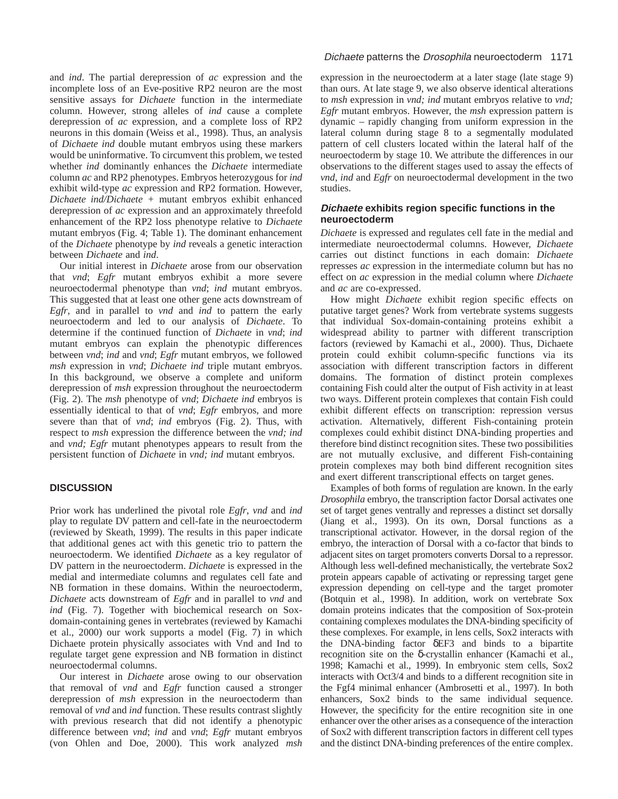and *ind*. The partial derepression of *ac* expression and the incomplete loss of an Eve-positive RP2 neuron are the most sensitive assays for *Dichaete* function in the intermediate column. However, strong alleles of *ind* cause a complete derepression of *ac* expression, and a complete loss of RP2 neurons in this domain (Weiss et al., 1998). Thus, an analysis of *Dichaete ind* double mutant embryos using these markers would be uninformative. To circumvent this problem, we tested whether *ind* dominantly enhances the *Dichaete* intermediate column *ac* and RP2 phenotypes. Embryos heterozygous for *ind* exhibit wild-type *ac* expression and RP2 formation. However, *Dichaete ind/Dichaete +* mutant embryos exhibit enhanced derepression of *ac* expression and an approximately threefold enhancement of the RP2 loss phenotype relative to *Dichaete* mutant embryos (Fig. 4; Table 1). The dominant enhancement of the *Dichaete* phenotype by *ind* reveals a genetic interaction between *Dichaete* and *ind*.

Our initial interest in *Dichaete* arose from our observation that *vnd*; *Egfr* mutant embryos exhibit a more severe neuroectodermal phenotype than *vnd*; *ind* mutant embryos. This suggested that at least one other gene acts downstream of *Egfr*, and in parallel to *vnd* and *ind* to pattern the early neuroectoderm and led to our analysis of *Dichaete*. To determine if the continued function of *Dichaete* in *vnd*; *ind* mutant embryos can explain the phenotypic differences between *vnd*; *ind* and *vnd*; *Egfr* mutant embryos, we followed *msh* expression in *vnd*; *Dichaete ind* triple mutant embryos. In this background, we observe a complete and uniform derepression of *msh* expression throughout the neuroectoderm (Fig. 2). The *msh* phenotype of *vnd*; *Dichaete ind* embryos is essentially identical to that of *vnd*; *Egfr* embryos, and more severe than that of *vnd*; *ind* embryos (Fig. 2). Thus, with respect to *msh* expression the difference between the *vnd; ind* and *vnd; Egfr* mutant phenotypes appears to result from the persistent function of *Dichaete* in *vnd; ind* mutant embryos.

# **DISCUSSION**

Prior work has underlined the pivotal role *Egfr*, *vnd* and *ind* play to regulate DV pattern and cell-fate in the neuroectoderm (reviewed by Skeath, 1999). The results in this paper indicate that additional genes act with this genetic trio to pattern the neuroectoderm. We identified *Dichaete* as a key regulator of DV pattern in the neuroectoderm. *Dichaete* is expressed in the medial and intermediate columns and regulates cell fate and NB formation in these domains. Within the neuroectoderm, *Dichaete* acts downstream of *Egfr* and in parallel to *vnd* and *ind* (Fig. 7). Together with biochemical research on Soxdomain-containing genes in vertebrates (reviewed by Kamachi et al., 2000) our work supports a model (Fig. 7) in which Dichaete protein physically associates with Vnd and Ind to regulate target gene expression and NB formation in distinct neuroectodermal columns.

Our interest in *Dichaete* arose owing to our observation that removal of *vnd* and *Egfr* function caused a stronger derepression of *msh* expression in the neuroectoderm than removal of *vnd* and *ind* function. These results contrast slightly with previous research that did not identify a phenotypic difference between *vnd*; *ind* and *vnd*; *Egfr* mutant embryos (von Ohlen and Doe, 2000). This work analyzed *msh*

### Dichaete patterns the Drosophila neuroectoderm 1171

expression in the neuroectoderm at a later stage (late stage 9) than ours. At late stage 9, we also observe identical alterations to *msh* expression in *vnd; ind* mutant embryos relative to *vnd; Egfr* mutant embryos. However, the *msh* expression pattern is dynamic – rapidly changing from uniform expression in the lateral column during stage 8 to a segmentally modulated pattern of cell clusters located within the lateral half of the neuroectoderm by stage 10. We attribute the differences in our observations to the different stages used to assay the effects of *vnd*, *ind* and *Egfr* on neuroectodermal development in the two studies.

## **Dichaete exhibits region specific functions in the neuroectoderm**

*Dichaete* is expressed and regulates cell fate in the medial and intermediate neuroectodermal columns. However, *Dichaete* carries out distinct functions in each domain: *Dichaete* represses *ac* expression in the intermediate column but has no effect on *ac* expression in the medial column where *Dichaete* and *ac* are co-expressed.

How might *Dichaete* exhibit region specific effects on putative target genes? Work from vertebrate systems suggests that individual Sox-domain-containing proteins exhibit a widespread ability to partner with different transcription factors (reviewed by Kamachi et al., 2000). Thus, Dichaete protein could exhibit column-specific functions via its association with different transcription factors in different domains. The formation of distinct protein complexes containing Fish could alter the output of Fish activity in at least two ways. Different protein complexes that contain Fish could exhibit different effects on transcription: repression versus activation. Alternatively, different Fish-containing protein complexes could exhibit distinct DNA-binding properties and therefore bind distinct recognition sites. These two possibilities are not mutually exclusive, and different Fish-containing protein complexes may both bind different recognition sites and exert different transcriptional effects on target genes.

Examples of both forms of regulation are known. In the early *Drosophila* embryo, the transcription factor Dorsal activates one set of target genes ventrally and represses a distinct set dorsally (Jiang et al., 1993). On its own, Dorsal functions as a transcriptional activator. However, in the dorsal region of the embryo, the interaction of Dorsal with a co-factor that binds to adjacent sites on target promoters converts Dorsal to a repressor. Although less well-defined mechanistically, the vertebrate Sox2 protein appears capable of activating or repressing target gene expression depending on cell-type and the target promoter (Botquin et al., 1998). In addition, work on vertebrate Sox domain proteins indicates that the composition of Sox-protein containing complexes modulates the DNA-binding specificity of these complexes. For example, in lens cells, Sox2 interacts with the DNA-binding factor δEF3 and binds to a bipartite recognition site on the δ-crystallin enhancer (Kamachi et al., 1998; Kamachi et al., 1999). In embryonic stem cells, Sox2 interacts with Oct3/4 and binds to a different recognition site in the Fgf4 minimal enhancer (Ambrosetti et al., 1997). In both enhancers, Sox2 binds to the same individual sequence. However, the specificity for the entire recognition site in one enhancer over the other arises as a consequence of the interaction of Sox2 with different transcription factors in different cell types and the distinct DNA-binding preferences of the entire complex.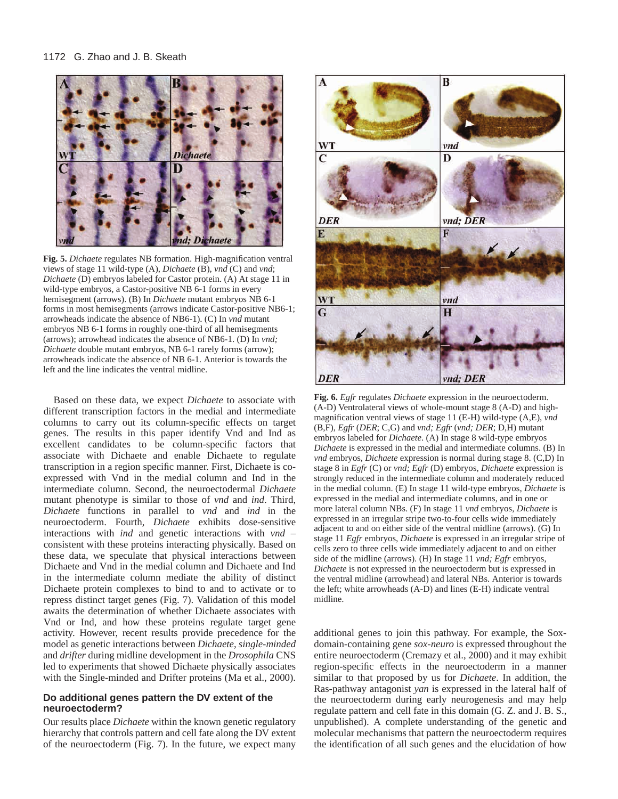

**Fig. 5.** *Dichaete* regulates NB formation. High-magnification ventral views of stage 11 wild-type (A), *Dichaete* (B), *vnd* (C) and *vnd*; *Dichaete* (D) embryos labeled for Castor protein. (A) At stage 11 in wild-type embryos, a Castor-positive NB 6-1 forms in every hemisegment (arrows). (B) In *Dichaete* mutant embryos NB 6-1 forms in most hemisegments (arrows indicate Castor-positive NB6-1; arrowheads indicate the absence of NB6-1). (C) In *vnd* mutant embryos NB 6-1 forms in roughly one-third of all hemisegments (arrows); arrowhead indicates the absence of NB6-1. (D) In *vnd; Dichaete* double mutant embryos, NB 6-1 rarely forms (arrow); arrowheads indicate the absence of NB 6-1. Anterior is towards the left and the line indicates the ventral midline.

Based on these data, we expect *Dichaete* to associate with different transcription factors in the medial and intermediate columns to carry out its column-specific effects on target genes. The results in this paper identify Vnd and Ind as excellent candidates to be column-specific factors that associate with Dichaete and enable Dichaete to regulate transcription in a region specific manner. First, Dichaete is coexpressed with Vnd in the medial column and Ind in the intermediate column. Second, the neuroectodermal *Dichaete* mutant phenotype is similar to those of *vnd* and *ind*. Third, *Dichaete* functions in parallel to *vnd* and *ind* in the neuroectoderm. Fourth, *Dichaete* exhibits dose-sensitive interactions with *ind* and genetic interactions with *vnd* – consistent with these proteins interacting physically. Based on these data, we speculate that physical interactions between Dichaete and Vnd in the medial column and Dichaete and Ind in the intermediate column mediate the ability of distinct Dichaete protein complexes to bind to and to activate or to repress distinct target genes (Fig. 7). Validation of this model awaits the determination of whether Dichaete associates with Vnd or Ind, and how these proteins regulate target gene activity. However, recent results provide precedence for the model as genetic interactions between *Dichaete*, *single-minded* and *drifter* during midline development in the *Drosophila* CNS led to experiments that showed Dichaete physically associates with the Single-minded and Drifter proteins (Ma et al., 2000).

#### **Do additional genes pattern the DV extent of the neuroectoderm?**

Our results place *Dichaete* within the known genetic regulatory hierarchy that controls pattern and cell fate along the DV extent of the neuroectoderm (Fig. 7). In the future, we expect many



**Fig. 6.** *Egfr* regulates *Dichaete* expression in the neuroectoderm. (A-D) Ventrolateral views of whole-mount stage 8 (A-D) and highmagnification ventral views of stage 11 (E-H) wild-type (A,E), *vnd* (B,F), *Egfr* (*DER*; C,G) and *vnd; Egfr* (*vnd; DER*; D,H) mutant embryos labeled for *Dichaete*. (A) In stage 8 wild-type embryos *Dichaete* is expressed in the medial and intermediate columns. (B) In *vnd* embryos, *Dichaete* expression is normal during stage 8. (C,D) In stage 8 in *Egfr* (C) or *vnd; Egfr* (D) embryos, *Dichaete* expression is strongly reduced in the intermediate column and moderately reduced in the medial column. (E) In stage 11 wild-type embryos, *Dichaete* is expressed in the medial and intermediate columns, and in one or more lateral column NBs. (F) In stage 11 *vnd* embryos, *Dichaete* is expressed in an irregular stripe two-to-four cells wide immediately adjacent to and on either side of the ventral midline (arrows). (G) In stage 11 *Egfr* embryos, *Dichaete* is expressed in an irregular stripe of cells zero to three cells wide immediately adjacent to and on either side of the midline (arrows). (H) In stage 11 *vnd; Egfr* embryos, *Dichaete* is not expressed in the neuroectoderm but is expressed in the ventral midline (arrowhead) and lateral NBs. Anterior is towards the left; white arrowheads (A-D) and lines (E-H) indicate ventral midline.

additional genes to join this pathway. For example, the Soxdomain-containing gene *sox-neuro* is expressed throughout the entire neuroectoderm (Cremazy et al., 2000) and it may exhibit region-specific effects in the neuroectoderm in a manner similar to that proposed by us for *Dichaete*. In addition, the Ras-pathway antagonist *yan* is expressed in the lateral half of the neuroectoderm during early neurogenesis and may help regulate pattern and cell fate in this domain (G. Z. and J. B. S., unpublished). A complete understanding of the genetic and molecular mechanisms that pattern the neuroectoderm requires the identification of all such genes and the elucidation of how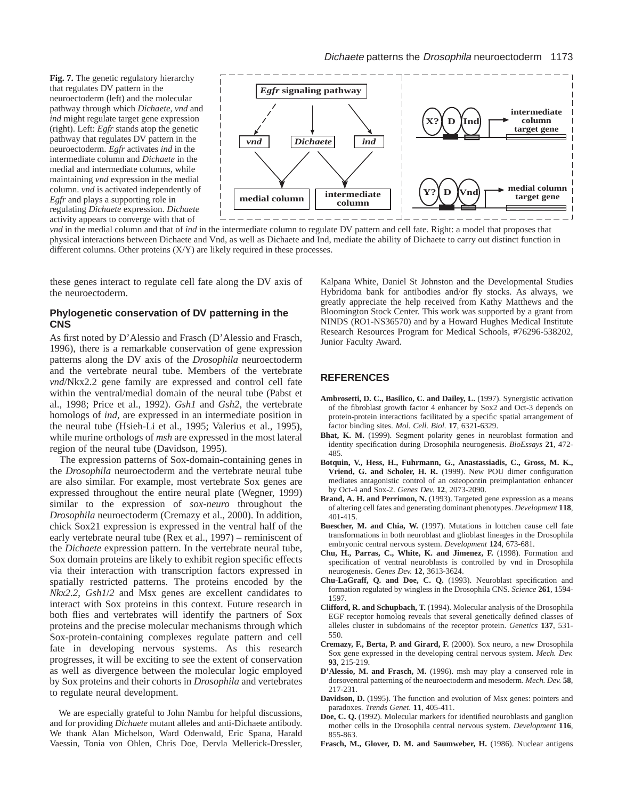**Fig. 7.** The genetic regulatory hierarchy that regulates DV pattern in the neuroectoderm (left) and the molecular pathway through which *Dichaete, vnd* and *ind* might regulate target gene expression (right). Left: *Egfr* stands atop the genetic pathway that regulates DV pattern in the neuroectoderm. *Egfr* activates *ind* in the intermediate column and *Dichaete* in the medial and intermediate columns, while maintaining *vnd* expression in the medial column. *vnd* is activated independently of *Egfr* and plays a supporting role in regulating *Dichaete* expression. *Dichaete* activity appears to converge with that of



*vnd* in the medial column and that of *ind* in the intermediate column to regulate DV pattern and cell fate. Right: a model that proposes that physical interactions between Dichaete and Vnd, as well as Dichaete and Ind, mediate the ability of Dichaete to carry out distinct function in different columns. Other proteins (X/Y) are likely required in these processes.

these genes interact to regulate cell fate along the DV axis of the neuroectoderm.

#### **Phylogenetic conservation of DV patterning in the CNS**

As first noted by D'Alessio and Frasch (D'Alessio and Frasch, 1996), there is a remarkable conservation of gene expression patterns along the DV axis of the *Drosophila* neuroectoderm and the vertebrate neural tube. Members of the vertebrate *vnd*/Nkx2.2 gene family are expressed and control cell fate within the ventral/medial domain of the neural tube (Pabst et al., 1998; Price et al., 1992). *Gsh1* and *Gsh2*, the vertebrate homologs of *ind*, are expressed in an intermediate position in the neural tube (Hsieh-Li et al., 1995; Valerius et al., 1995), while murine orthologs of *msh* are expressed in the most lateral region of the neural tube (Davidson, 1995).

The expression patterns of Sox-domain-containing genes in the *Drosophila* neuroectoderm and the vertebrate neural tube are also similar. For example, most vertebrate Sox genes are expressed throughout the entire neural plate (Wegner, 1999) similar to the expression of *sox-neuro* throughout the *Drosophila* neuroectoderm (Cremazy et al., 2000). In addition, chick Sox21 expression is expressed in the ventral half of the early vertebrate neural tube (Rex et al., 1997) – reminiscent of the *Dichaete* expression pattern. In the vertebrate neural tube, Sox domain proteins are likely to exhibit region specific effects via their interaction with transcription factors expressed in spatially restricted patterns. The proteins encoded by the *Nkx2*.*2*, *Gsh1*/*2* and Msx genes are excellent candidates to interact with Sox proteins in this context. Future research in both flies and vertebrates will identify the partners of Sox proteins and the precise molecular mechanisms through which Sox-protein-containing complexes regulate pattern and cell fate in developing nervous systems. As this research progresses, it will be exciting to see the extent of conservation as well as divergence between the molecular logic employed by Sox proteins and their cohorts in *Drosophila* and vertebrates to regulate neural development.

We are especially grateful to John Nambu for helpful discussions, and for providing *Dichaete* mutant alleles and anti-Dichaete antibody. We thank Alan Michelson, Ward Odenwald, Eric Spana, Harald Vaessin, Tonia von Ohlen, Chris Doe, Dervla Mellerick-Dressler,

Kalpana White, Daniel St Johnston and the Developmental Studies Hybridoma bank for antibodies and/or fly stocks. As always, we greatly appreciate the help received from Kathy Matthews and the Bloomington Stock Center. This work was supported by a grant from NINDS (RO1-NS36570) and by a Howard Hughes Medical Institute Research Resources Program for Medical Schools, #76296-538202, Junior Faculty Award.

## **REFERENCES**

- **Ambrosetti, D. C., Basilico, C. and Dailey, L.** (1997). Synergistic activation of the fibroblast growth factor 4 enhancer by Sox2 and Oct-3 depends on protein-protein interactions facilitated by a specific spatial arrangement of factor binding sites. *Mol. Cell. Biol.* **17**, 6321-6329.
- **Bhat, K. M.** (1999). Segment polarity genes in neuroblast formation and identity specification during Drosophila neurogenesis. *BioEssays* **21**, 472- 485.
- **Botquin, V., Hess, H., Fuhrmann, G., Anastassiadis, C., Gross, M. K., Vriend, G. and Scholer, H. R.** (1999). New POU dimer configuration mediates antagonistic control of an osteopontin preimplantation enhancer by Oct-4 and Sox-2. *Genes Dev.* **12**, 2073-2090.
- **Brand, A. H. and Perrimon, N.** (1993). Targeted gene expression as a means of altering cell fates and generating dominant phenotypes. *Development* **118**, 401-415.
- **Buescher, M. and Chia, W.** (1997). Mutations in lottchen cause cell fate transformations in both neuroblast and glioblast lineages in the Drosophila embryonic central nervous system. *Development* **124**, 673-681.
- **Chu, H., Parras, C., White, K. and Jimenez, F.** (1998). Formation and specification of ventral neuroblasts is controlled by vnd in Drosophila neurogenesis. *Genes Dev.* **12**, 3613-3624.
- **Chu-LaGraff, Q. and Doe, C. Q.** (1993). Neuroblast specification and formation regulated by wingless in the Drosophila CNS. *Science* **261**, 1594- 1597.
- **Clifford, R. and Schupbach, T.** (1994). Molecular analysis of the Drosophila EGF receptor homolog reveals that several genetically defined classes of alleles cluster in subdomains of the receptor protein. *Genetics* **137**, 531- 550.
- **Cremazy, F., Berta, P. and Girard, F.** (2000). Sox neuro, a new Drosophila Sox gene expressed in the developing central nervous system. *Mech. Dev.* **93**, 215-219.
- **D'Alessio, M. and Frasch, M.** (1996). msh may play a conserved role in dorsoventral patterning of the neuroectoderm and mesoderm. *Mech. Dev.* **58**, 217-231.
- **Davidson, D.** (1995). The function and evolution of Msx genes: pointers and paradoxes. *Trends Genet.* **11**, 405-411.
- **Doe, C. Q.** (1992). Molecular markers for identified neuroblasts and ganglion mother cells in the Drosophila central nervous system. *Development* **116**, 855-863.
- **Frasch, M., Glover, D. M. and Saumweber, H.** (1986). Nuclear antigens